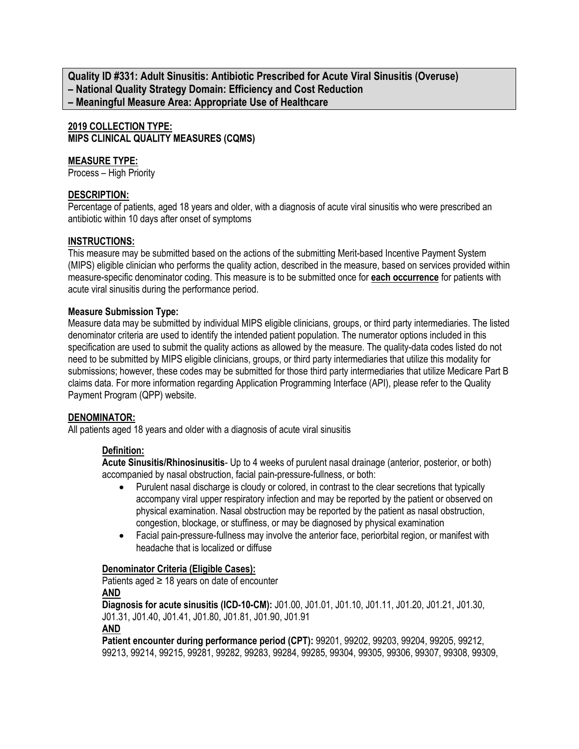**Quality ID #331: Adult Sinusitis: Antibiotic Prescribed for Acute Viral Sinusitis (Overuse) – National Quality Strategy Domain: Efficiency and Cost Reduction – Meaningful Measure Area: Appropriate Use of Healthcare**

**2019 COLLECTION TYPE: MIPS CLINICAL QUALITY MEASURES (CQMS)**

# **MEASURE TYPE:**

Process – High Priority

## **DESCRIPTION:**

Percentage of patients, aged 18 years and older, with a diagnosis of acute viral sinusitis who were prescribed an antibiotic within 10 days after onset of symptoms

#### **INSTRUCTIONS:**

This measure may be submitted based on the actions of the submitting Merit-based Incentive Payment System (MIPS) eligible clinician who performs the quality action, described in the measure, based on services provided within measure-specific denominator coding. This measure is to be submitted once for **each occurrence** for patients with acute viral sinusitis during the performance period.

#### **Measure Submission Type:**

Measure data may be submitted by individual MIPS eligible clinicians, groups, or third party intermediaries. The listed denominator criteria are used to identify the intended patient population. The numerator options included in this specification are used to submit the quality actions as allowed by the measure. The quality-data codes listed do not need to be submitted by MIPS eligible clinicians, groups, or third party intermediaries that utilize this modality for submissions; however, these codes may be submitted for those third party intermediaries that utilize Medicare Part B claims data. For more information regarding Application Programming Interface (API), please refer to the Quality Payment Program (QPP) website.

# **DENOMINATOR:**

All patients aged 18 years and older with a diagnosis of acute viral sinusitis

# **Definition:**

**Acute Sinusitis/Rhinosinusitis**- Up to 4 weeks of purulent nasal drainage (anterior, posterior, or both) accompanied by nasal obstruction, facial pain-pressure-fullness, or both:

- Purulent nasal discharge is cloudy or colored, in contrast to the clear secretions that typically accompany viral upper respiratory infection and may be reported by the patient or observed on physical examination. Nasal obstruction may be reported by the patient as nasal obstruction, congestion, blockage, or stuffiness, or may be diagnosed by physical examination
- Facial pain-pressure-fullness may involve the anterior face, periorbital region, or manifest with headache that is localized or diffuse

#### **Denominator Criteria (Eligible Cases):**

Patients aged  $\geq$  18 years on date of encounter **AND**

**Diagnosis for acute sinusitis (ICD-10-CM):** J01.00, J01.01, J01.10, J01.11, J01.20, J01.21, J01.30, J01.31, J01.40, J01.41, J01.80, J01.81, J01.90, J01.91

**Patient encounter during performance period (CPT):** 99201, 99202, 99203, 99204, 99205, 99212, 99213, 99214, 99215, 99281, 99282, 99283, 99284, 99285, 99304, 99305, 99306, 99307, 99308, 99309,

**AND**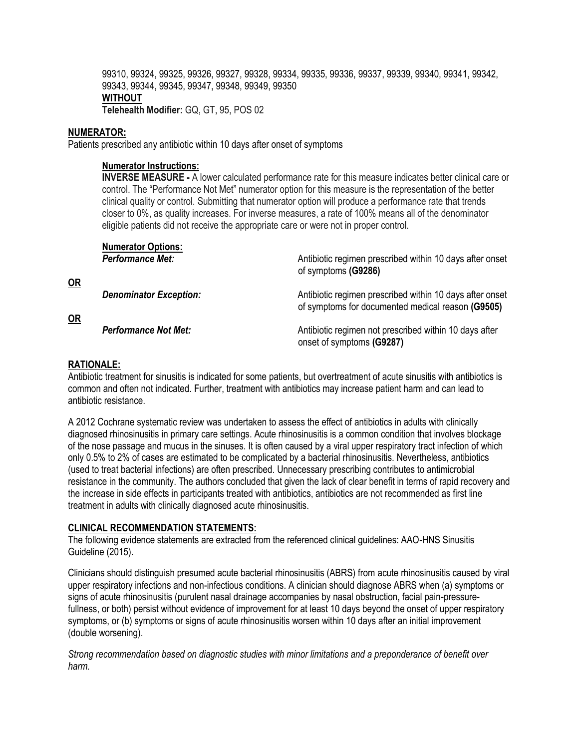99310, 99324, 99325, 99326, 99327, 99328, 99334, 99335, 99336, 99337, 99339, 99340, 99341, 99342, 99343, 99344, 99345, 99347, 99348, 99349, 99350 **WITHOUT Telehealth Modifier:** GQ, GT, 95, POS 02

#### **NUMERATOR:**

Patients prescribed any antibiotic within 10 days after onset of symptoms

## **Numerator Instructions:**

**INVERSE MEASURE -** A lower calculated performance rate for this measure indicates better clinical care or control. The "Performance Not Met" numerator option for this measure is the representation of the better clinical quality or control. Submitting that numerator option will produce a performance rate that trends closer to 0%, as quality increases. For inverse measures, a rate of 100% means all of the denominator eligible patients did not receive the appropriate care or were not in proper control.

|              | <b>Numerator Options:</b><br><b>Performance Met:</b> | Antibiotic regimen prescribed within 10 days after onset                                                      |
|--------------|------------------------------------------------------|---------------------------------------------------------------------------------------------------------------|
|              |                                                      | of symptoms (G9286)                                                                                           |
| $OR$<br>$OR$ | <b>Denominator Exception:</b>                        | Antibiotic regimen prescribed within 10 days after onset<br>of symptoms for documented medical reason (G9505) |
|              | <b>Performance Not Met:</b>                          | Antibiotic regimen not prescribed within 10 days after<br>onset of symptoms (G9287)                           |

#### **RATIONALE:**

Antibiotic treatment for sinusitis is indicated for some patients, but overtreatment of acute sinusitis with antibiotics is common and often not indicated. Further, treatment with antibiotics may increase patient harm and can lead to antibiotic resistance.

A 2012 Cochrane systematic review was undertaken to assess the effect of antibiotics in adults with clinically diagnosed rhinosinusitis in primary care settings. Acute rhinosinusitis is a common condition that involves blockage of the nose passage and mucus in the sinuses. It is often caused by a viral upper respiratory tract infection of which only 0.5% to 2% of cases are estimated to be complicated by a bacterial rhinosinusitis. Nevertheless, antibiotics (used to treat bacterial infections) are often prescribed. Unnecessary prescribing contributes to antimicrobial resistance in the community. The authors concluded that given the lack of clear benefit in terms of rapid recovery and the increase in side effects in participants treated with antibiotics, antibiotics are not recommended as first line treatment in adults with clinically diagnosed acute rhinosinusitis.

#### **CLINICAL RECOMMENDATION STATEMENTS:**

The following evidence statements are extracted from the referenced clinical guidelines: AAO-HNS Sinusitis Guideline (2015).

Clinicians should distinguish presumed acute bacterial rhinosinusitis (ABRS) from acute rhinosinusitis caused by viral upper respiratory infections and non-infectious conditions. A clinician should diagnose ABRS when (a) symptoms or signs of acute rhinosinusitis (purulent nasal drainage accompanies by nasal obstruction, facial pain-pressurefullness, or both) persist without evidence of improvement for at least 10 days beyond the onset of upper respiratory symptoms, or (b) symptoms or signs of acute rhinosinusitis worsen within 10 days after an initial improvement (double worsening).

*Strong recommendation based on diagnostic studies with minor limitations and a preponderance of benefit over harm.*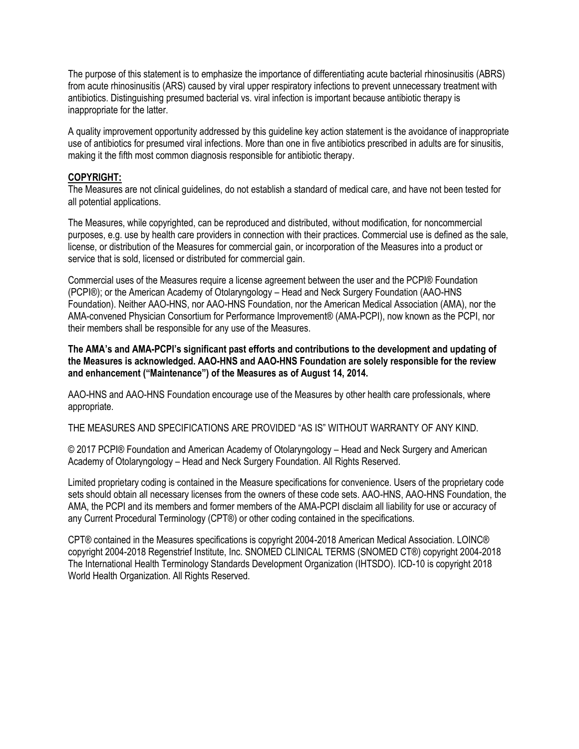The purpose of this statement is to emphasize the importance of differentiating acute bacterial rhinosinusitis (ABRS) from acute rhinosinusitis (ARS) caused by viral upper respiratory infections to prevent unnecessary treatment with antibiotics. Distinguishing presumed bacterial vs. viral infection is important because antibiotic therapy is inappropriate for the latter.

A quality improvement opportunity addressed by this guideline key action statement is the avoidance of inappropriate use of antibiotics for presumed viral infections. More than one in five antibiotics prescribed in adults are for sinusitis, making it the fifth most common diagnosis responsible for antibiotic therapy.

#### **COPYRIGHT:**

The Measures are not clinical guidelines, do not establish a standard of medical care, and have not been tested for all potential applications.

The Measures, while copyrighted, can be reproduced and distributed, without modification, for noncommercial purposes, e.g. use by health care providers in connection with their practices. Commercial use is defined as the sale, license, or distribution of the Measures for commercial gain, or incorporation of the Measures into a product or service that is sold, licensed or distributed for commercial gain.

Commercial uses of the Measures require a license agreement between the user and the PCPI® Foundation (PCPI®); or the American Academy of Otolaryngology – Head and Neck Surgery Foundation (AAO-HNS Foundation). Neither AAO-HNS, nor AAO-HNS Foundation, nor the American Medical Association (AMA), nor the AMA-convened Physician Consortium for Performance Improvement® (AMA-PCPI), now known as the PCPI, nor their members shall be responsible for any use of the Measures.

**The AMA's and AMA-PCPI's significant past efforts and contributions to the development and updating of the Measures is acknowledged. AAO-HNS and AAO-HNS Foundation are solely responsible for the review and enhancement ("Maintenance") of the Measures as of August 14, 2014.**

AAO-HNS and AAO-HNS Foundation encourage use of the Measures by other health care professionals, where appropriate.

THE MEASURES AND SPECIFICATIONS ARE PROVIDED "AS IS" WITHOUT WARRANTY OF ANY KIND.

© 2017 PCPI® Foundation and American Academy of Otolaryngology – Head and Neck Surgery and American Academy of Otolaryngology – Head and Neck Surgery Foundation. All Rights Reserved.

Limited proprietary coding is contained in the Measure specifications for convenience. Users of the proprietary code sets should obtain all necessary licenses from the owners of these code sets. AAO-HNS, AAO-HNS Foundation, the AMA, the PCPI and its members and former members of the AMA-PCPI disclaim all liability for use or accuracy of any Current Procedural Terminology (CPT®) or other coding contained in the specifications.

CPT® contained in the Measures specifications is copyright 2004-2018 American Medical Association. LOINC® copyright 2004-2018 Regenstrief Institute, Inc. SNOMED CLINICAL TERMS (SNOMED CT®) copyright 2004-2018 The International Health Terminology Standards Development Organization (IHTSDO). ICD-10 is copyright 2018 World Health Organization. All Rights Reserved.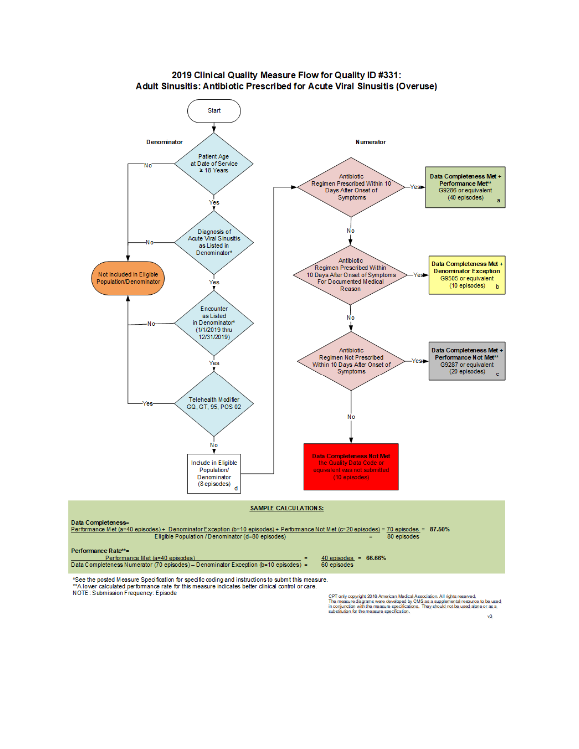

2019 Clinical Quality Measure Flow for Quality ID #331: Adult Sinusitis: Antibiotic Prescribed for Acute Viral Sinusitis (Overuse)

\*See the posted Measure Specification for specific coding and instructions to submit this measure. \*\* A lower calculated performance rate for this measure indicates better clinical control or care. NOTE: Submission Frequency: Episode

CPT only copyright 2018 American Medical Association. All rights reserved.<br>The measure diagrams were developed by CMS as a supplemental resource to be used<br>in conjunction with the measure specifications. They should not be

 $v3$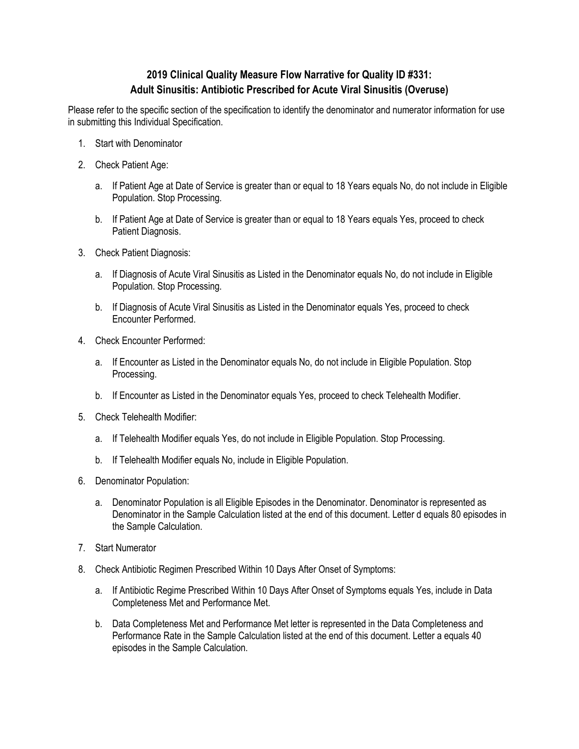# **2019 Clinical Quality Measure Flow Narrative for Quality ID #331: Adult Sinusitis: Antibiotic Prescribed for Acute Viral Sinusitis (Overuse)**

Please refer to the specific section of the specification to identify the denominator and numerator information for use in submitting this Individual Specification.

- 1. Start with Denominator
- 2. Check Patient Age:
	- a. If Patient Age at Date of Service is greater than or equal to 18 Years equals No, do not include in Eligible Population. Stop Processing.
	- b. If Patient Age at Date of Service is greater than or equal to 18 Years equals Yes, proceed to check Patient Diagnosis.
- 3. Check Patient Diagnosis:
	- a. If Diagnosis of Acute Viral Sinusitis as Listed in the Denominator equals No, do not include in Eligible Population. Stop Processing.
	- b. If Diagnosis of Acute Viral Sinusitis as Listed in the Denominator equals Yes, proceed to check Encounter Performed.
- 4. Check Encounter Performed:
	- a. If Encounter as Listed in the Denominator equals No, do not include in Eligible Population. Stop Processing.
	- b. If Encounter as Listed in the Denominator equals Yes, proceed to check Telehealth Modifier.
- 5. Check Telehealth Modifier:
	- a. If Telehealth Modifier equals Yes, do not include in Eligible Population. Stop Processing.
	- b. If Telehealth Modifier equals No, include in Eligible Population.
- 6. Denominator Population:
	- a. Denominator Population is all Eligible Episodes in the Denominator. Denominator is represented as Denominator in the Sample Calculation listed at the end of this document. Letter d equals 80 episodes in the Sample Calculation.
- 7. Start Numerator
- 8. Check Antibiotic Regimen Prescribed Within 10 Days After Onset of Symptoms:
	- a. If Antibiotic Regime Prescribed Within 10 Days After Onset of Symptoms equals Yes, include in Data Completeness Met and Performance Met.
	- b. Data Completeness Met and Performance Met letter is represented in the Data Completeness and Performance Rate in the Sample Calculation listed at the end of this document. Letter a equals 40 episodes in the Sample Calculation.